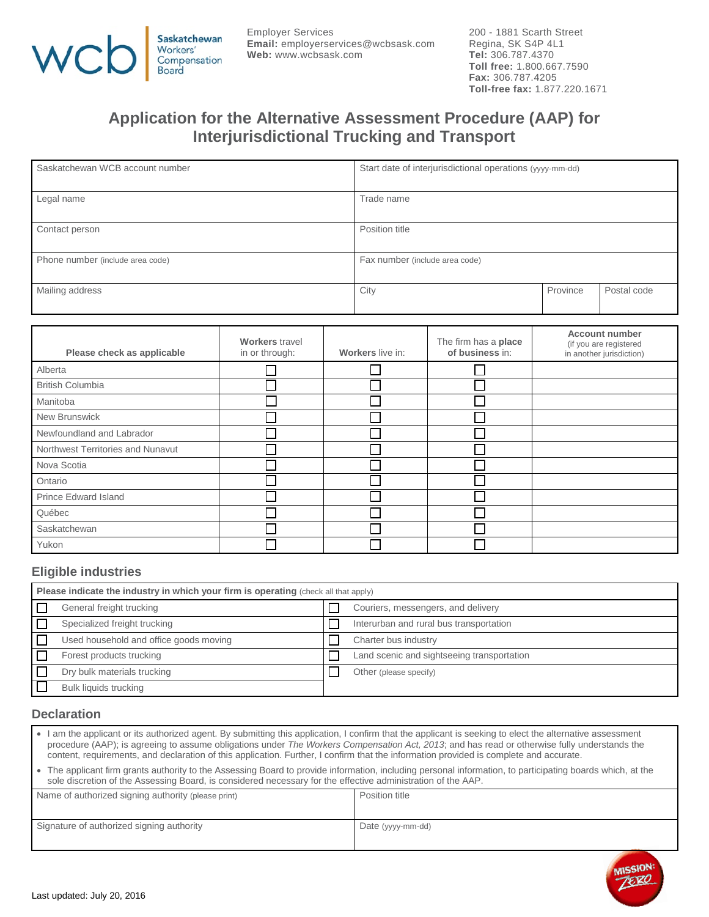

Employer Services **Email:** employerservices@wcbsask.com **Web:** www.wcbsask.com

200 - 1881 Scarth Street Regina, SK S4P 4L1 **Tel:** 306.787.4370 **Toll free:** 1.800.667.7590 **Fax:** 306.787.4205 **Toll-free fax:** 1.877.220.1671

# **Application for the Alternative Assessment Procedure (AAP) for Interjurisdictional Trucking and Transport**

| Saskatchewan WCB account number  | Start date of interjurisdictional operations (yyyy-mm-dd) |          |             |
|----------------------------------|-----------------------------------------------------------|----------|-------------|
| Legal name                       | Trade name                                                |          |             |
| Contact person                   | Position title                                            |          |             |
| Phone number (include area code) | Fax number (include area code)                            |          |             |
| Mailing address                  | City                                                      | Province | Postal code |

| Please check as applicable        | <b>Workers</b> travel<br>in or through: | Workers live in: | The firm has a place<br>of business in: | <b>Account number</b><br>(if you are registered<br>in another jurisdiction) |
|-----------------------------------|-----------------------------------------|------------------|-----------------------------------------|-----------------------------------------------------------------------------|
| Alberta                           |                                         |                  |                                         |                                                                             |
| <b>British Columbia</b>           |                                         |                  |                                         |                                                                             |
| Manitoba                          |                                         |                  |                                         |                                                                             |
| New Brunswick                     |                                         |                  |                                         |                                                                             |
| Newfoundland and Labrador         |                                         |                  |                                         |                                                                             |
| Northwest Territories and Nunavut |                                         |                  |                                         |                                                                             |
| Nova Scotia                       |                                         |                  |                                         |                                                                             |
| Ontario                           |                                         |                  |                                         |                                                                             |
| Prince Edward Island              |                                         |                  |                                         |                                                                             |
| Québec                            |                                         |                  |                                         |                                                                             |
| Saskatchewan                      |                                         |                  |                                         |                                                                             |
| Yukon                             |                                         |                  |                                         |                                                                             |

#### **Eligible industries**

| Please indicate the industry in which your firm is operating (check all that apply) |                                        |  |                                            |
|-------------------------------------------------------------------------------------|----------------------------------------|--|--------------------------------------------|
|                                                                                     | General freight trucking               |  | Couriers, messengers, and delivery         |
|                                                                                     | Specialized freight trucking           |  | Interurban and rural bus transportation    |
|                                                                                     | Used household and office goods moving |  | Charter bus industry                       |
|                                                                                     | Forest products trucking               |  | Land scenic and sightseeing transportation |
|                                                                                     | Dry bulk materials trucking            |  | Other (please specify)                     |
|                                                                                     | Bulk liquids trucking                  |  |                                            |

#### **Declaration**

- I am the applicant or its authorized agent. By submitting this application, I confirm that the applicant is seeking to elect the alternative assessment procedure (AAP); is agreeing to assume obligations under *The Workers Compensation Act, 2013*; and has read or otherwise fully understands the content, requirements, and declaration of this application. Further, I confirm that the information provided is complete and accurate.
- The applicant firm grants authority to the Assessing Board to provide information, including personal information, to participating boards which, at the sole discretion of the Assessing Board, is considered necessary for the effective administration of the AAP.

| Name of authorized signing authority (please print) | Position title    |
|-----------------------------------------------------|-------------------|
| Signature of authorized signing authority           | Date (yyyy-mm-dd) |